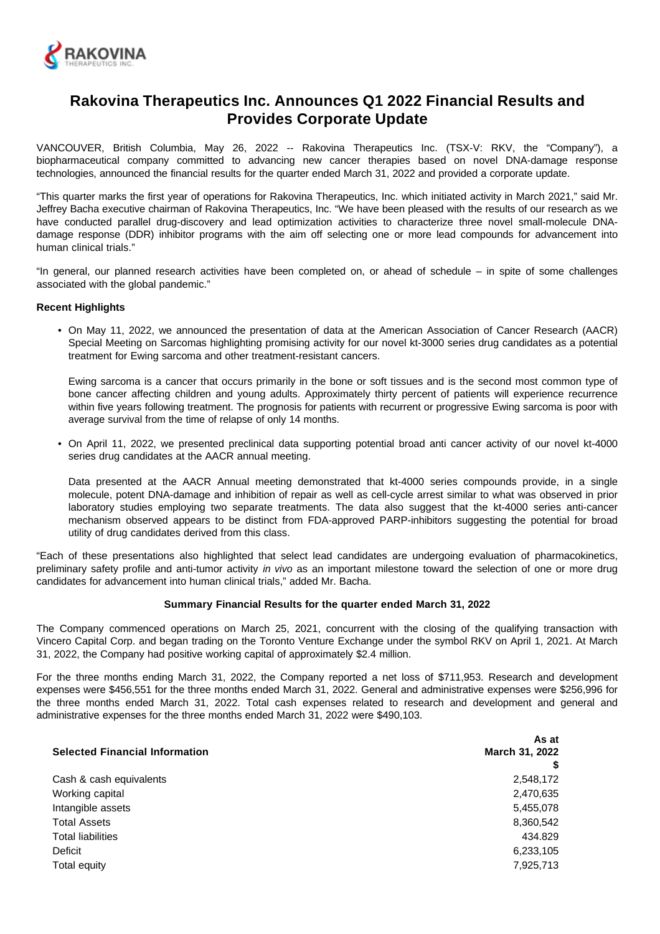

# **Rakovina Therapeutics Inc. Announces Q1 2022 Financial Results and Provides Corporate Update**

VANCOUVER, British Columbia, May 26, 2022 -- Rakovina Therapeutics Inc. (TSX-V: RKV, the "Company"), a biopharmaceutical company committed to advancing new cancer therapies based on novel DNA-damage response technologies, announced the financial results for the quarter ended March 31, 2022 and provided a corporate update.

"This quarter marks the first year of operations for Rakovina Therapeutics, Inc. which initiated activity in March 2021," said Mr. Jeffrey Bacha executive chairman of Rakovina Therapeutics, Inc. "We have been pleased with the results of our research as we have conducted parallel drug-discovery and lead optimization activities to characterize three novel small-molecule DNAdamage response (DDR) inhibitor programs with the aim off selecting one or more lead compounds for advancement into human clinical trials."

"In general, our planned research activities have been completed on, or ahead of schedule – in spite of some challenges associated with the global pandemic."

# **Recent Highlights**

• On May 11, 2022, we announced the presentation of data at the American Association of Cancer Research (AACR) Special Meeting on Sarcomas highlighting promising activity for our novel kt-3000 series drug candidates as a potential treatment for Ewing sarcoma and other treatment-resistant cancers.

Ewing sarcoma is a cancer that occurs primarily in the bone or soft tissues and is the second most common type of bone cancer affecting children and young adults. Approximately thirty percent of patients will experience recurrence within five years following treatment. The prognosis for patients with recurrent or progressive Ewing sarcoma is poor with average survival from the time of relapse of only 14 months.

• On April 11, 2022, we presented preclinical data supporting potential broad anti cancer activity of our novel kt-4000 series drug candidates at the AACR annual meeting.

Data presented at the AACR Annual meeting demonstrated that kt-4000 series compounds provide, in a single molecule, potent DNA-damage and inhibition of repair as well as cell-cycle arrest similar to what was observed in prior laboratory studies employing two separate treatments. The data also suggest that the kt-4000 series anti-cancer mechanism observed appears to be distinct from FDA-approved PARP-inhibitors suggesting the potential for broad utility of drug candidates derived from this class.

"Each of these presentations also highlighted that select lead candidates are undergoing evaluation of pharmacokinetics, preliminary safety profile and anti-tumor activity in vivo as an important milestone toward the selection of one or more drug candidates for advancement into human clinical trials," added Mr. Bacha.

## **Summary Financial Results for the quarter ended March 31, 2022**

The Company commenced operations on March 25, 2021, concurrent with the closing of the qualifying transaction with Vincero Capital Corp. and began trading on the Toronto Venture Exchange under the symbol RKV on April 1, 2021. At March 31, 2022, the Company had positive working capital of approximately \$2.4 million.

For the three months ending March 31, 2022, the Company reported a net loss of \$711,953. Research and development expenses were \$456,551 for the three months ended March 31, 2022. General and administrative expenses were \$256,996 for the three months ended March 31, 2022. Total cash expenses related to research and development and general and administrative expenses for the three months ended March 31, 2022 were \$490,103.

|                                       | As at          |  |
|---------------------------------------|----------------|--|
| <b>Selected Financial Information</b> | March 31, 2022 |  |
|                                       |                |  |
| Cash & cash equivalents               | 2,548,172      |  |
| Working capital                       | 2,470,635      |  |
| Intangible assets                     | 5,455,078      |  |
| <b>Total Assets</b>                   | 8,360,542      |  |
| <b>Total liabilities</b>              | 434.829        |  |
| Deficit                               | 6,233,105      |  |
| Total equity                          | 7,925,713      |  |
|                                       |                |  |